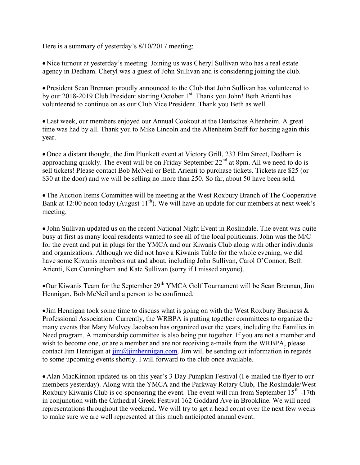Here is a summary of yesterday's 8/10/2017 meeting:

 Nice turnout at yesterday's meeting. Joining us was Cheryl Sullivan who has a real estate agency in Dedham. Cheryl was a guest of John Sullivan and is considering joining the club.

 President Sean Brennan proudly announced to the Club that John Sullivan has volunteered to by our 2018-2019 Club President starting October 1st. Thank you John! Beth Arienti has volunteered to continue on as our Club Vice President. Thank you Beth as well.

 Last week, our members enjoyed our Annual Cookout at the Deutsches Altenheim. A great time was had by all. Thank you to Mike Lincoln and the Altenheim Staff for hosting again this year.

 Once a distant thought, the Jim Plunkett event at Victory Grill, 233 Elm Street, Dedham is approaching quickly. The event will be on Friday September  $22<sup>nd</sup>$  at 8pm. All we need to do is sell tickets! Please contact Bob McNeil or Beth Arienti to purchase tickets. Tickets are \$25 (or \$30 at the door) and we will be selling no more than 250. So far, about 50 have been sold.

The Auction Items Committee will be meeting at the West Roxbury Branch of The Cooperative Bank at 12:00 noon today (August  $11<sup>th</sup>$ ). We will have an update for our members at next week's meeting.

 John Sullivan updated us on the recent National Night Event in Roslindale. The event was quite busy at first as many local residents wanted to see all of the local politicians. John was the M/C for the event and put in plugs for the YMCA and our Kiwanis Club along with other individuals and organizations. Although we did not have a Kiwanis Table for the whole evening, we did have some Kiwanis members out and about, including John Sullivan, Carol O'Connor, Beth Arienti, Ken Cunningham and Kate Sullivan (sorry if I missed anyone).

Our Kiwanis Team for the September  $29<sup>th</sup> YMCA$  Golf Tournament will be Sean Brennan, Jim Hennigan, Bob McNeil and a person to be confirmed.

If Hennigan took some time to discuss what is going on with the West Roxbury Business  $\&$ Professional Association. Currently, the WRBPA is putting together committees to organize the many events that Mary Mulvey Jacobson has organized over the years, including the Families in Need program. A membership committee is also being put together. If you are not a member and wish to become one, or are a member and are not receiving e-mails from the WRBPA, please contact Jim Hennigan at  $\lim_{n \to \infty} a$  imbending  $a$ . Jim will be sending out information in regards to some upcoming events shortly. I will forward to the club once available.

• Alan MacKinnon updated us on this year's 3 Day Pumpkin Festival (I e-mailed the flyer to our members yesterday). Along with the YMCA and the Parkway Rotary Club, The Roslindale/West Roxbury Kiwanis Club is co-sponsoring the event. The event will run from September  $15<sup>th</sup>$ -17th in conjunction with the Cathedral Greek Festival 162 Goddard Ave in Brookline. We will need representations throughout the weekend. We will try to get a head count over the next few weeks to make sure we are well represented at this much anticipated annual event.